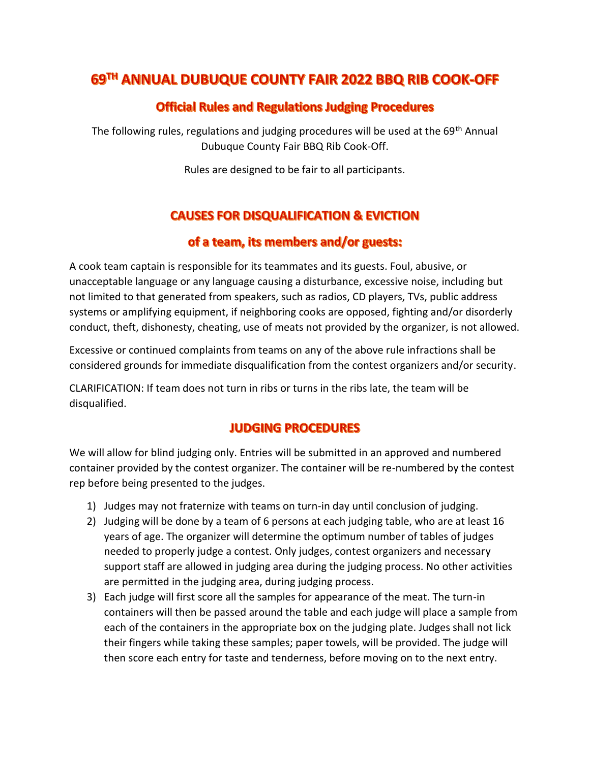# 69TH ANNUAL DUBUQUE COUNTY FAIR 2022 BBQ RIB COOK-OFF

### **Official Rules and Regulations Judging Procedures**

The following rules, regulations and judging procedures will be used at the 69<sup>th</sup> Annual Dubuque County Fair BBQ Rib Cook-Off.

Rules are designed to be fair to all participants.

## **CAUSES FOR DISQUALIFICATION & EVICTION**

#### of a team, its members and/or guests:

A cook team captain is responsible for its teammates and its guests. Foul, abusive, or unacceptable language or any language causing a disturbance, excessive noise, including but not limited to that generated from speakers, such as radios, CD players, TVs, public address systems or amplifying equipment, if neighboring cooks are opposed, fighting and/or disorderly conduct, theft, dishonesty, cheating, use of meats not provided by the organizer, is not allowed.

Excessive or continued complaints from teams on any of the above rule infractions shall be considered grounds for immediate disqualification from the contest organizers and/or security.

CLARIFICATION: If team does not turn in ribs or turns in the ribs late, the team will be disqualified.

#### **JUDGING PROCEDURES**

We will allow for blind judging only. Entries will be submitted in an approved and numbered container provided by the contest organizer. The container will be re-numbered by the contest rep before being presented to the judges.

- 1) Judges may not fraternize with teams on turn-in day until conclusion of judging.
- 2) Judging will be done by a team of 6 persons at each judging table, who are at least 16 years of age. The organizer will determine the optimum number of tables of judges needed to properly judge a contest. Only judges, contest organizers and necessary support staff are allowed in judging area during the judging process. No other activities are permitted in the judging area, during judging process.
- 3) Each judge will first score all the samples for appearance of the meat. The turn-in containers will then be passed around the table and each judge will place a sample from each of the containers in the appropriate box on the judging plate. Judges shall not lick their fingers while taking these samples; paper towels, will be provided. The judge will then score each entry for taste and tenderness, before moving on to the next entry.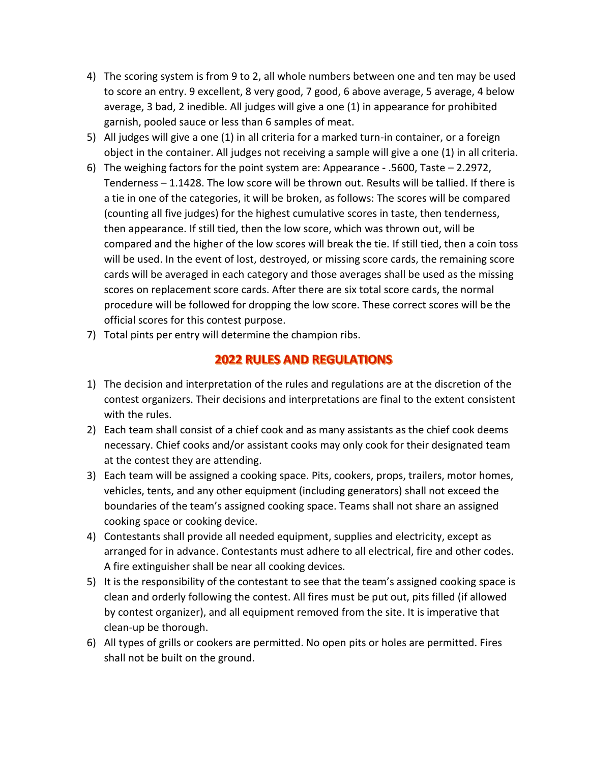- 4) The scoring system is from 9 to 2, all whole numbers between one and ten may be used to score an entry. 9 excellent, 8 very good, 7 good, 6 above average, 5 average, 4 below average, 3 bad, 2 inedible. All judges will give a one (1) in appearance for prohibited garnish, pooled sauce or less than 6 samples of meat.
- 5) All judges will give a one (1) in all criteria for a marked turn-in container, or a foreign object in the container. All judges not receiving a sample will give a one (1) in all criteria.
- 6) The weighing factors for the point system are: Appearance .5600, Taste 2.2972, Tenderness – 1.1428. The low score will be thrown out. Results will be tallied. If there is a tie in one of the categories, it will be broken, as follows: The scores will be compared (counting all five judges) for the highest cumulative scores in taste, then tenderness, then appearance. If still tied, then the low score, which was thrown out, will be compared and the higher of the low scores will break the tie. If still tied, then a coin toss will be used. In the event of lost, destroyed, or missing score cards, the remaining score cards will be averaged in each category and those averages shall be used as the missing scores on replacement score cards. After there are six total score cards, the normal procedure will be followed for dropping the low score. These correct scores will be the official scores for this contest purpose.
- 7) Total pints per entry will determine the champion ribs.

#### **2022 RULES AND REGULATIONS**

- 1) The decision and interpretation of the rules and regulations are at the discretion of the contest organizers. Their decisions and interpretations are final to the extent consistent with the rules.
- 2) Each team shall consist of a chief cook and as many assistants as the chief cook deems necessary. Chief cooks and/or assistant cooks may only cook for their designated team at the contest they are attending.
- 3) Each team will be assigned a cooking space. Pits, cookers, props, trailers, motor homes, vehicles, tents, and any other equipment (including generators) shall not exceed the boundaries of the team's assigned cooking space. Teams shall not share an assigned cooking space or cooking device.
- 4) Contestants shall provide all needed equipment, supplies and electricity, except as arranged for in advance. Contestants must adhere to all electrical, fire and other codes. A fire extinguisher shall be near all cooking devices.
- 5) It is the responsibility of the contestant to see that the team's assigned cooking space is clean and orderly following the contest. All fires must be put out, pits filled (if allowed by contest organizer), and all equipment removed from the site. It is imperative that clean-up be thorough.
- 6) All types of grills or cookers are permitted. No open pits or holes are permitted. Fires shall not be built on the ground.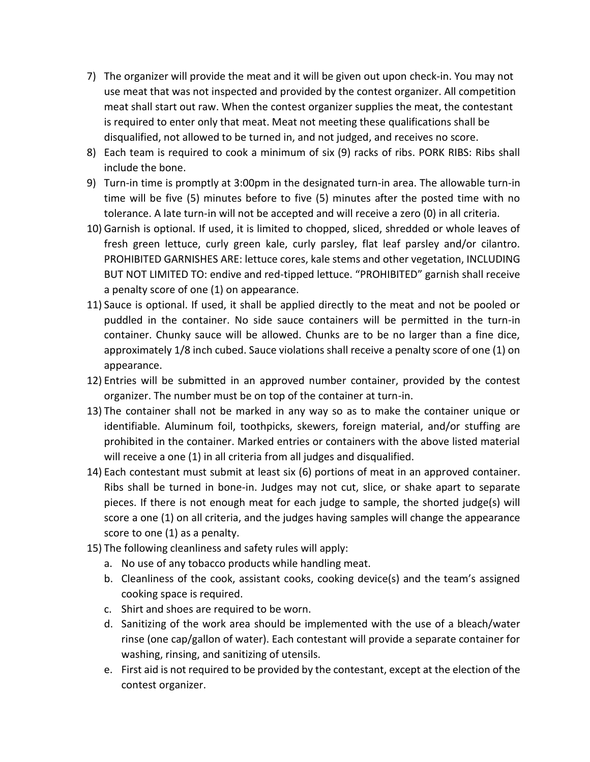- 7) The organizer will provide the meat and it will be given out upon check-in. You may not use meat that was not inspected and provided by the contest organizer. All competition meat shall start out raw. When the contest organizer supplies the meat, the contestant is required to enter only that meat. Meat not meeting these qualifications shall be disqualified, not allowed to be turned in, and not judged, and receives no score.
- 8) Each team is required to cook a minimum of six (9) racks of ribs. PORK RIBS: Ribs shall include the bone.
- 9) Turn-in time is promptly at 3:00pm in the designated turn-in area. The allowable turn-in time will be five (5) minutes before to five (5) minutes after the posted time with no tolerance. A late turn-in will not be accepted and will receive a zero (0) in all criteria.
- 10) Garnish is optional. If used, it is limited to chopped, sliced, shredded or whole leaves of fresh green lettuce, curly green kale, curly parsley, flat leaf parsley and/or cilantro. PROHIBITED GARNISHES ARE: lettuce cores, kale stems and other vegetation, INCLUDING BUT NOT LIMITED TO: endive and red-tipped lettuce. "PROHIBITED" garnish shall receive a penalty score of one (1) on appearance.
- 11) Sauce is optional. If used, it shall be applied directly to the meat and not be pooled or puddled in the container. No side sauce containers will be permitted in the turn-in container. Chunky sauce will be allowed. Chunks are to be no larger than a fine dice, approximately 1/8 inch cubed. Sauce violations shall receive a penalty score of one (1) on appearance.
- 12) Entries will be submitted in an approved number container, provided by the contest organizer. The number must be on top of the container at turn-in.
- 13) The container shall not be marked in any way so as to make the container unique or identifiable. Aluminum foil, toothpicks, skewers, foreign material, and/or stuffing are prohibited in the container. Marked entries or containers with the above listed material will receive a one (1) in all criteria from all judges and disqualified.
- 14) Each contestant must submit at least six (6) portions of meat in an approved container. Ribs shall be turned in bone-in. Judges may not cut, slice, or shake apart to separate pieces. If there is not enough meat for each judge to sample, the shorted judge(s) will score a one (1) on all criteria, and the judges having samples will change the appearance score to one (1) as a penalty.
- 15) The following cleanliness and safety rules will apply:
	- a. No use of any tobacco products while handling meat.
	- b. Cleanliness of the cook, assistant cooks, cooking device(s) and the team's assigned cooking space is required.
	- c. Shirt and shoes are required to be worn.
	- d. Sanitizing of the work area should be implemented with the use of a bleach/water rinse (one cap/gallon of water). Each contestant will provide a separate container for washing, rinsing, and sanitizing of utensils.
	- e. First aid is not required to be provided by the contestant, except at the election of the contest organizer.